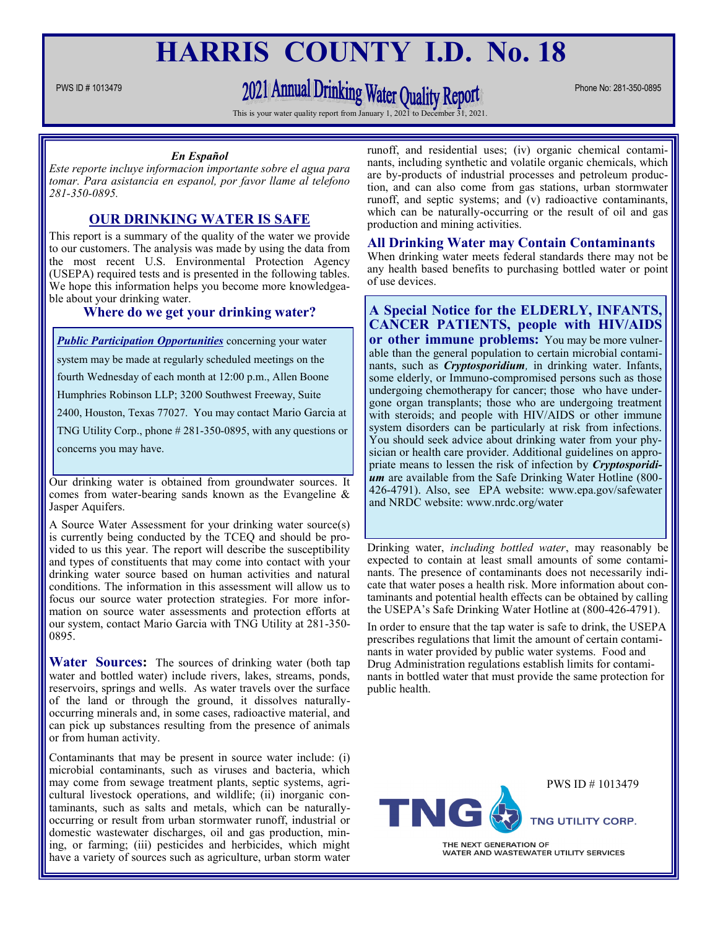## **HARRIS COUNTY I.D. No. 18**

# PWS ID # 1013479 Phone No: 281-350-0895

This is your water quality report from January 1, 2021 to De

#### *En Español*

*Este reporte incluye informacion importante sobre el agua para tomar. Para asistancia en espanol, por favor llame al telefono 281-350-0895.*

## **OUR DRINKING WATER IS SAFE**

This report is a summary of the quality of the water we provide to our customers. The analysis was made by using the data from the most recent U.S. Environmental Protection Agency (USEPA) required tests and is presented in the following tables. We hope this information helps you become more knowledgeable about your drinking water.

## **Where do we get your drinking water?**

*Public Participation Opportunities* concerning your water system may be made at regularly scheduled meetings on the fourth Wednesday of each month at 12:00 p.m., Allen Boone Humphries Robinson LLP; 3200 Southwest Freeway, Suite 2400, Houston, Texas 77027. You may contact Mario Garcia at TNG Utility Corp., phone # 281-350-0895, with any questions or concerns you may have.

Our drinking water is obtained from groundwater sources. It comes from water-bearing sands known as the Evangeline & Jasper Aquifers.

A Source Water Assessment for your drinking water source(s) is currently being conducted by the TCEQ and should be provided to us this year. The report will describe the susceptibility and types of constituents that may come into contact with your drinking water source based on human activities and natural conditions. The information in this assessment will allow us to focus our source water protection strategies. For more information on source water assessments and protection efforts at our system, contact Mario Garcia with TNG Utility at 281-350- 0895.

**Water Sources:** The sources of drinking water (both tap water and bottled water) include rivers, lakes, streams, ponds, reservoirs, springs and wells. As water travels over the surface of the land or through the ground, it dissolves naturallyoccurring minerals and, in some cases, radioactive material, and can pick up substances resulting from the presence of animals or from human activity.

Contaminants that may be present in source water include: (i) microbial contaminants, such as viruses and bacteria, which may come from sewage treatment plants, septic systems, agricultural livestock operations, and wildlife; (ii) inorganic contaminants, such as salts and metals, which can be naturallyoccurring or result from urban stormwater runoff, industrial or domestic wastewater discharges, oil and gas production, mining, or farming; (iii) pesticides and herbicides, which might have a variety of sources such as agriculture, urban storm water

runoff, and residential uses; (iv) organic chemical contaminants, including synthetic and volatile organic chemicals, which are by-products of industrial processes and petroleum production, and can also come from gas stations, urban stormwater runoff, and septic systems; and (v) radioactive contaminants, which can be naturally-occurring or the result of oil and gas production and mining activities.

#### **All Drinking Water may Contain Contaminants**

When drinking water meets federal standards there may not be any health based benefits to purchasing bottled water or point of use devices.

## **A Special Notice for the ELDERLY, INFANTS, CANCER PATIENTS, people with HIV/AIDS or other immune problems:** You may be more vulnerable than the general population to certain microbial contami-

nants, such as *Cryptosporidium,* in drinking water. Infants, some elderly, or Immuno-compromised persons such as those undergoing chemotherapy for cancer; those who have undergone organ transplants; those who are undergoing treatment with steroids; and people with HIV/AIDS or other immune system disorders can be particularly at risk from infections. You should seek advice about drinking water from your physician or health care provider. Additional guidelines on appropriate means to lessen the risk of infection by *Cryptosporidium* are available from the Safe Drinking Water Hotline (800- 426-4791). Also, see EPA website: www.epa.gov/safewater and NRDC website: www.nrdc.org/water

Drinking water, *including bottled water*, may reasonably be expected to contain at least small amounts of some contaminants. The presence of contaminants does not necessarily indicate that water poses a health risk. More information about contaminants and potential health effects can be obtained by calling the USEPA's Safe Drinking Water Hotline at (800-426-4791).

In order to ensure that the tap water is safe to drink, the USEPA prescribes regulations that limit the amount of certain contaminants in water provided by public water systems. Food and Drug Administration regulations establish limits for contaminants in bottled water that must provide the same protection for public health.



WATER AND WASTEWATER UTILITY SERVICES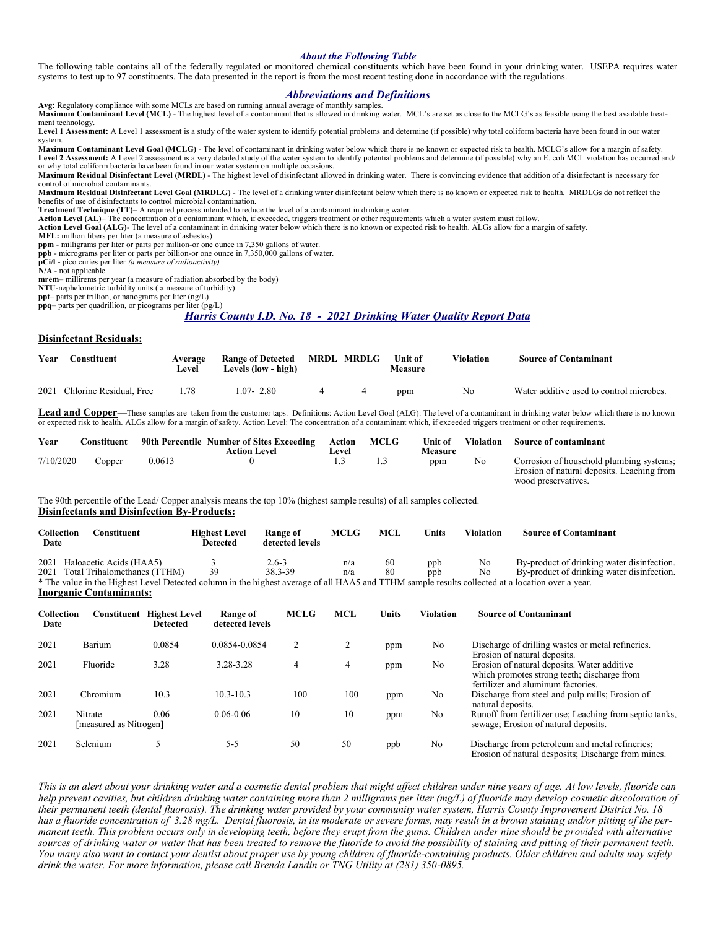#### *About the Following Table*

The following table contains all of the federally regulated or monitored chemical constituents which have been found in your drinking water. USEPA requires water systems to test up to 97 constituents. The data presented in the report is from the most recent testing done in accordance with the regulations.

#### *Abbreviations and Definitions*

**Avg:** Regulatory compliance with some MCLs are based on running annual average of monthly samples. Maximum Contaminant Level (MCL) - The highest level of a contaminant that is allowed in drinking water. MCL's are set as close to the MCLG's as feasible using the best available treat-

ment technology. **Level 1 Assessment:** A Level 1 assessment is a study of the water system to identify potential problems and determine (if possible) why total coliform bacteria have been found in our water

system.

Maximum Contaminant Level Goal (MCLG) - The level of contaminant in drinking water below which there is no known or expected risk to health. MCLG's allow for a margin of safety.<br>Level 2 Assessment: A Level 2 assessment is or why total coliform bacteria have been found in our water system on multiple occasions.

**Maximum Residual Disinfectant Level (MRDL)** - The highest level of disinfectant allowed in drinking water. There is convincing evidence that addition of a disinfectant is necessary for control of microbial contaminants.

**Maximum Residual Disinfectant Level Goal (MRDLG)** - The level of a drinking water disinfectant below which there is no known or expected risk to health. MRDLGs do not reflect the benefits of use of disinfectants to control microbial contamination.

**Treatment Technique (TT)**– A required process intended to reduce the level of a contaminant in drinking water.

Action Level (AL)– The concentration of a contaminant which, if exceeded, triggers treatment or other requirements which a water system must follow.<br>Action Level Goal (ALG)- The level of a contaminant in drinking water bel

**MFL:** million fibers per liter (a measure of asbestos) **ppm** - milligrams per liter or parts per million-or one ounce in 7,350 gallons of water.

**ppb** - micrograms per liter or parts per billion-or one ounce in 7,350,000 gallons of water.

**pCi/l -** pico curies per liter *(a measure of radioactivity)*  **N/A** - not applicable

**mrem**– millirems per year (a measure of radiation absorbed by the body)

**NTU**-nephelometric turbidity units ( a measure of turbidity)

**ppt**– parts per trillion, or nanograms per liter (ng/L) **ppq**– parts per quadrillion, or picograms per liter (pg/L)

*Harris County I.D. No. 18 - 2021 Drinking Water Quality Report Data*

#### **Disinfectant Residuals:**

| Year | Constituent                  | Average<br>Level | Range of Detected MRDL MRDLG<br>Levels (low - high) |  | <b>Unit of</b><br>Measure | Violation | <b>Source of Contaminant</b>             |
|------|------------------------------|------------------|-----------------------------------------------------|--|---------------------------|-----------|------------------------------------------|
|      | 2021 Chlorine Residual, Free | 1.78             | $1.07 - 2.80$                                       |  | ppm                       | No        | Water additive used to control microbes. |

Lead and Copper—These samples are taken from the customer taps. Definitions: Action Level Goal (ALG): The level of a contaminant in drinking water below which there is no known or expected risk to health. ALGs allow for a

| Year      | `onstituent |        | 90th Percentile Number of Sites Exceeding<br>Action Level | Action<br>∟evel | <b>MCLG</b> | Unit of<br><b>Measure</b> | Violation | <b>Source of contaminant</b>                                                           |
|-----------|-------------|--------|-----------------------------------------------------------|-----------------|-------------|---------------------------|-----------|----------------------------------------------------------------------------------------|
| 7/10/2020 | Copper      | 0.0613 |                                                           |                 |             | ppm                       | No        | Corrosion of household plumbing systems:<br>Erosion of natural deposits. Leaching from |
|           |             |        |                                                           |                 |             |                           |           | wood preservatives                                                                     |

The 90th percentile of the Lead/ Copper analysis means the top 10% (highest sample results) of all samples collected. **Disinfectants and Disinfection By-Products:**

| Collection<br>Date | Constituent                                                                                                                                             | <b>Highest Level</b><br>Detected | Range of<br>detected levels | <b>MCLG</b> | MCL      | Units | Violation | <b>Source of Contaminant</b>                                                             |  |
|--------------------|---------------------------------------------------------------------------------------------------------------------------------------------------------|----------------------------------|-----------------------------|-------------|----------|-------|-----------|------------------------------------------------------------------------------------------|--|
|                    | 2021 Haloacetic Acids (HAA5)<br>2021 Total Trihalomethanes (TTHM)                                                                                       | 39                               | 2.6-3<br>38.3-39            | n/a<br>n/a  | 60<br>80 | ppb   | No<br>No  | By-product of drinking water disinfection.<br>By-product of drinking water disinfection. |  |
|                    | ppb<br>* The value in the Highest Level Detected column in the highest average of all HAA5 and TTHM sample results collected at a location over a year. |                                  |                             |             |          |       |           |                                                                                          |  |

**Inorganic Contaminants:**

| Collection<br>Date | Constituent                       | <b>Highest Level</b><br><b>Detected</b> | Range of<br>detected levels | <b>MCLG</b> | <b>MCL</b> | Units | <b>Violation</b> | <b>Source of Contaminant</b>                                                                                                     |
|--------------------|-----------------------------------|-----------------------------------------|-----------------------------|-------------|------------|-------|------------------|----------------------------------------------------------------------------------------------------------------------------------|
| 2021               | Barium                            | 0.0854                                  | 0.0854-0.0854               | 2           | 2          | ppm   | No               | Discharge of drilling wastes or metal refineries.<br>Erosion of natural deposits.                                                |
| 2021               | Fluoride                          | 3.28                                    | 3.28-3.28                   | 4           | 4          | ppm   | No               | Erosion of natural deposits. Water additive<br>which promotes strong teeth; discharge from<br>fertilizer and aluminum factories. |
| 2021               | Chromium                          | 10.3                                    | $10.3 - 10.3$               | 100         | 100        | ppm   | No               | Discharge from steel and pulp mills; Erosion of<br>natural deposits.                                                             |
| 2021               | Nitrate<br>[measured as Nitrogen] | 0.06                                    | $0.06 - 0.06$               | 10          | 10         | ppm   | No               | Runoff from fertilizer use; Leaching from septic tanks,<br>sewage; Erosion of natural deposits.                                  |
| 2021               | Selenium                          |                                         | $5 - 5$                     | 50          | 50         | ppb   | N <sub>o</sub>   | Discharge from peteroleum and metal refineries;<br>Erosion of natural desposits; Discharge from mines.                           |

*This is an alert about your drinking water and a cosmetic dental problem that might affect children under nine years of age. At low levels, fluoride can help prevent cavities, but children drinking water containing more than 2 milligrams per liter (mg/L) of fluoride may develop cosmetic discoloration of their permanent teeth (dental fluorosis). The drinking water provided by your community water system, Harris County Improvement District No. 18*  has a fluoride concentration of 3.28 mg/L. Dental fluorosis, in its moderate or severe forms, may result in a brown staining and/or pitting of the per*manent teeth. This problem occurs only in developing teeth, before they erupt from the gums. Children under nine should be provided with alternative sources of drinking water or water that has been treated to remove the fluoride to avoid the possibility of staining and pitting of their permanent teeth.*  You many also want to contact your dentist about proper use by young children of fluoride-containing products. Older children and adults may safely *drink the water. For more information, please call Brenda Landin or TNG Utility at (281) 350-0895.*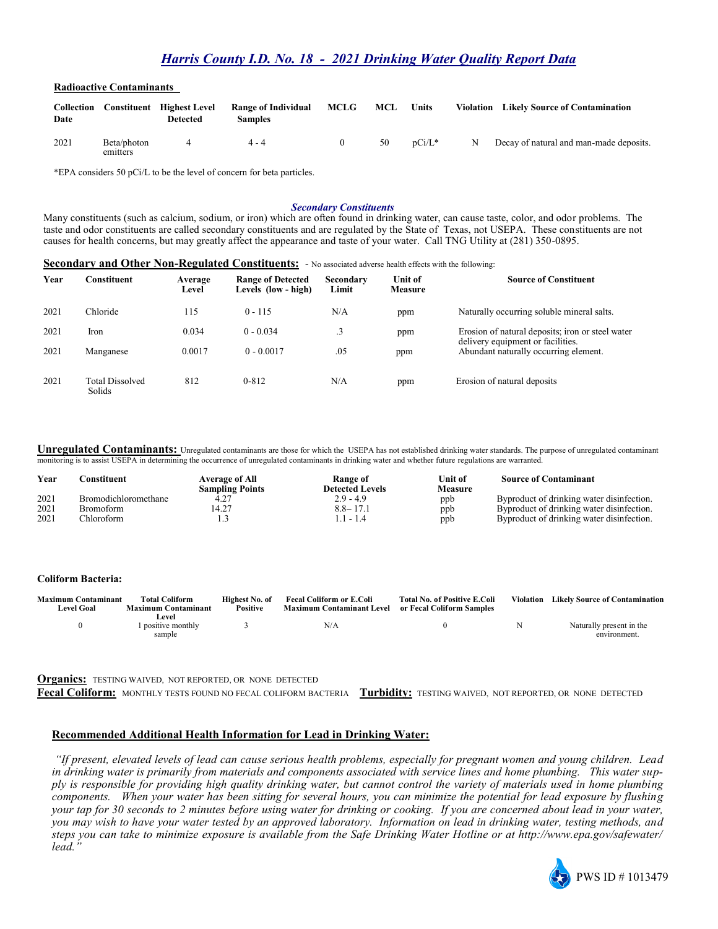## *Harris County I.D. No. 18 - 2021 Drinking Water Quality Report Data*

#### **Radioactive Contaminants**

| Collection<br>Date |                         | <b>Constituent</b> Highest Level<br>Detected | <b>Range of Individual</b><br>Samples | MCLG | MCL | Units              |   | Violation Likely Source of Contamination |
|--------------------|-------------------------|----------------------------------------------|---------------------------------------|------|-----|--------------------|---|------------------------------------------|
| 2021               | Beta/photon<br>emitters |                                              | $4 - 4$                               |      | 50  | $n\mathrm{Ci}/L^*$ | N | Decay of natural and man-made deposits.  |

\*EPA considers 50 pCi/L to be the level of concern for beta particles.

#### *Secondary Constituents*

Many constituents (such as calcium, sodium, or iron) which are often found in drinking water, can cause taste, color, and odor problems. The taste and odor constituents are called secondary constituents and are regulated by the State of Texas, not USEPA. These constituents are not causes for health concerns, but may greatly affect the appearance and taste of your water. Call TNG Utility at (281) 350-0895.

| Secondary and Other Non-Regulated Constituents: - No associated adverse health effects with the following: |  |
|------------------------------------------------------------------------------------------------------------|--|
|                                                                                                            |  |

| Year | Constituent                      | Average<br>Level | <b>Range of Detected</b><br>Levels (low - high) | Secondary<br>Limit | <b>Unit of</b><br><b>Measure</b> | <b>Source of Constituent</b>                                                          |
|------|----------------------------------|------------------|-------------------------------------------------|--------------------|----------------------------------|---------------------------------------------------------------------------------------|
| 2021 | Chloride                         | 115              | $0 - 115$                                       | N/A                | ppm                              | Naturally occurring soluble mineral salts.                                            |
| 2021 | Iron                             | 0.034            | $0 - 0.034$                                     |                    | ppm                              | Erosion of natural deposits; iron or steel water<br>delivery equipment or facilities. |
| 2021 | Manganese                        | 0.0017           | $0 - 0.0017$                                    | .05                | ppm                              | Abundant naturally occurring element.                                                 |
| 2021 | <b>Total Dissolved</b><br>Solids | 812              | $0 - 812$                                       | N/A                | ppm                              | Erosion of natural deposits                                                           |

**Unregulated Contaminants:** Unregulated contaminants are those for which the USEPA has not established drinking water standards. The purpose of unregulated contaminant monitoring is to assist USEPA in determining the occurrence of unregulated contaminants in drinking water and whether future regulations are warranted.

| Year | `onstituent_                | <b>Average of All</b><br><b>Sampling Points</b> | <b>Range of</b><br><b>Detected Levels</b> | Unit of<br>Measure | <b>Source of Contaminant</b>              |
|------|-----------------------------|-------------------------------------------------|-------------------------------------------|--------------------|-------------------------------------------|
| 2021 | <b>Bromodichloromethane</b> |                                                 | $2.9 - 4.9$                               | ppb                | Byproduct of drinking water disinfection. |
| 2021 | Bromoform                   | 4.27ء                                           | $8.8 - 17.1$                              | ppb                | Byproduct of drinking water disinfection. |
| 2021 | <b>Thloroform</b>           | ن د ل                                           | .1 - 1.4                                  | ppb                | Byproduct of drinking water disinfection. |

#### **Coliform Bacteria:**

| <b>Maximum Contaminant</b> | Total Coliform             | Highest No. of  | <b>Fecal Coliform or E.Coli</b> | <b>Total No. of Positive E.Coli</b> | Violation Likely Source of Contamination |
|----------------------------|----------------------------|-----------------|---------------------------------|-------------------------------------|------------------------------------------|
| <b>Level Goal</b>          | <b>Maximum Contaminant</b> | <b>Positive</b> | Maximum Contaminant Level       | or Fecal Coliform Samples           |                                          |
|                            | Level -                    |                 |                                 |                                     |                                          |
|                            | 1 positive monthly         |                 | N/A                             |                                     | Naturally present in the                 |
|                            | sample                     |                 |                                 |                                     | environment                              |

**Organics:** TESTING WAIVED, NOT REPORTED, OR NONE DETECTED

**Fecal Coliform:** MONTHLY TESTS FOUND NO FECAL COLIFORM BACTERIA **Turbidity:** TESTING WAIVED, NOT REPORTED, OR NONE DETECTED

#### **Recommended Additional Health Information for Lead in Drinking Water:**

*"If present, elevated levels of lead can cause serious health problems, especially for pregnant women and young children. Lead in drinking water is primarily from materials and components associated with service lines and home plumbing. This water supply is responsible for providing high quality drinking water, but cannot control the variety of materials used in home plumbing components. When your water has been sitting for several hours, you can minimize the potential for lead exposure by flushing your tap for 30 seconds to 2 minutes before using water for drinking or cooking. If you are concerned about lead in your water, you may wish to have your water tested by an approved laboratory. Information on lead in drinking water, testing methods, and steps you can take to minimize exposure is available from the Safe Drinking Water Hotline or at http://www.epa.gov/safewater/ lead."*